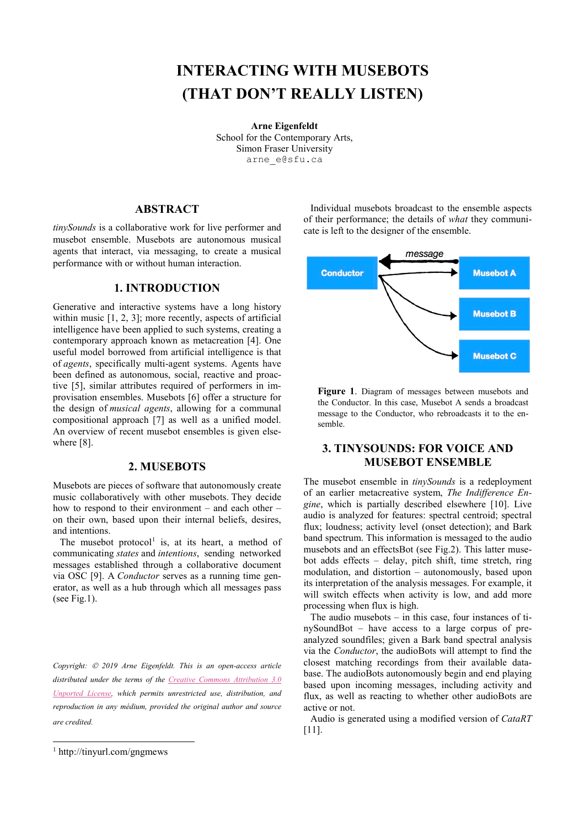# **INTERACTING WITH MUSEBOTS (THAT DON'T REALLY LISTEN)**

**Arne Eigenfeldt** School for the Contemporary Arts, Simon Fraser University [arne\\_e@sfu.ca](mailto:arne_e@sfu.ca)

## **ABSTRACT**

*tinySounds* is a collaborative work for live performer and musebot ensemble. Musebots are autonomous musical agents that interact, via messaging, to create a musical performance with or without human interaction.

# **1. INTRODUCTION**

Generative and interactive systems have a long history within music [1, 2, 3]; more recently, aspects of artificial intelligence have been applied to such systems, creating a contemporary approach known as metacreation [4]. One useful model borrowed from artificial intelligence is that of *agents*, specifically multi-agent systems. Agents have been defined as autonomous, social, reactive and proactive [5], similar attributes required of performers in improvisation ensembles. Musebots [6] offer a structure for the design of *musical agents*, allowing for a communal compositional approach [7] as well as a unified model. An overview of recent musebot ensembles is given elsewhere [8].

### **2. MUSEBOTS**

Musebots are pieces of software that autonomously create music collaboratively with other musebots. They decide how to respond to their environment – and each other – on their own, based upon their internal beliefs, desires, and intentions.

The musebot protocol<sup>[1](#page-0-0)</sup> is, at its heart, a method of communicating *states* and *intentions*, sending networked messages established through a collaborative document via OSC [9]. A *Conductor* serves as a running time generator, as well as a hub through which all messages pass (see Fig.1).

*Copyright: 2019 Arne Eigenfeldt. This is an open-access article distributed under the terms of the Creative Commons Attribution 3.0 Unported License, which permits unrestricted use, distribution, and reproduction in any médium, provided the original author and source are credited.*

Individual musebots broadcast to the ensemble aspects of their performance; the details of *what* they communicate is left to the designer of the ensemble.



**Figure 1**. Diagram of messages between musebots and the Conductor. In this case, Musebot A sends a broadcast message to the Conductor, who rebroadcasts it to the ensemble.

# **3. TINYSOUNDS: FOR VOICE AND MUSEBOT ENSEMBLE**

The musebot ensemble in *tinySounds* is a redeployment of an earlier metacreative system, *The Indifference Engine*, which is partially described elsewhere [10]. Live audio is analyzed for features: spectral centroid; spectral flux; loudness; activity level (onset detection); and Bark band spectrum. This information is messaged to the audio musebots and an effectsBot (see Fig.2). This latter musebot adds effects – delay, pitch shift, time stretch, ring modulation, and distortion – autonomously, based upon its interpretation of the analysis messages. For example, it will switch effects when activity is low, and add more processing when flux is high.

The audio musebots – in this case, four instances of tinySoundBot – have access to a large corpus of preanalyzed soundfiles; given a Bark band spectral analysis via the *Conductor*, the audioBots will attempt to find the closest matching recordings from their available database. The audioBots autonomously begin and end playing based upon incoming messages, including activity and flux, as well as reacting to whether other audioBots are active or not.

Audio is generated using a modified version of *CataRT* [11].

<span id="page-0-0"></span> <sup>1</sup> http://tinyurl.com/gngmews